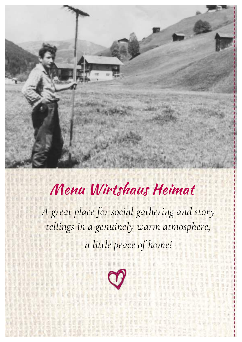

# Menu Wirtshaus Heimat

*A great place for social gathering and story tellings in a genuinely warm atmosphere, a little peace of home!*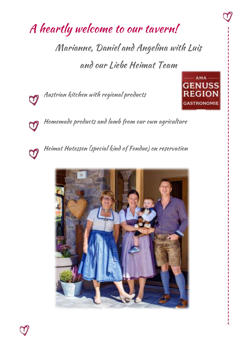## A heartly welcome to our tavern!

Marianne, Daniel and Angelina with Luis and our Liebe Heimat Team

Austrian kitchen with regional products

Homemade products and lamb from our own agriculture

Heimat Hutessen (special kind of Fondue) on reservation







 $\varphi$ 

თ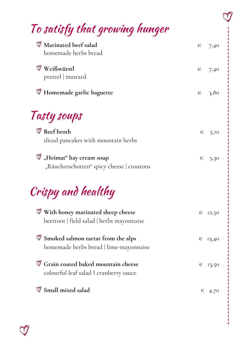## To satisfy that growing hunger

| Marinated beef salad<br>homemade herbs bread                                          | € | 7,40             |
|---------------------------------------------------------------------------------------|---|------------------|
| Weißwürstl<br>pretzel   mustard                                                       | € | 7,40             |
| <b>W</b> Homemade garlic baguette                                                     | € | 3,80             |
| Tasty soups                                                                           |   |                  |
| Beef broth<br>sliced pancakes with mountain herbs                                     | € | 5,10             |
| $\Psi$ "Heimat" hay cream soup<br>"Räucherschotten" spicy cheese   croutons           | € | 5,30             |
| Crispy and healthy                                                                    |   |                  |
| <b>With honey marinated sheep cheese</b><br>beetroot   field salad   herbs mayonnaise | € | 12,50            |
| <b>V</b> Smoked salmon tartar from the alps<br>homemade herbs bread   lime-mayonnaise |   | $\epsilon$ 13,40 |
| Grain coated baked mountain cheese<br>colourful leaf salad I cranberry sauce          | € | 13,50            |
| Small mixed salad                                                                     | € | 4,70             |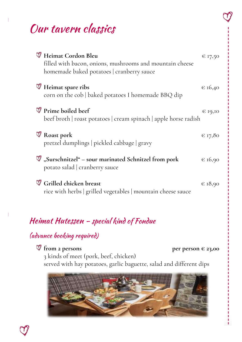## Our tavern classics

| Heimat Cordon Bleu<br>filled with bacon, onions, mushrooms and mountain cheese<br>homemade baked potatoes   cranberry sauce | $\in$ 17,50 |
|-----------------------------------------------------------------------------------------------------------------------------|-------------|
| Heimat spare ribs<br>corn on the cob   baked potatoes I homemade BBQ dip                                                    | $\in$ 16,40 |
| <sup>T</sup> Prime boiled beef<br>beef broth   roast potatoes   cream spinach   apple horse radish                          | € 19,10     |
| Roast pork<br>pretzel dumplings   pickled cabbage   gravy                                                                   | $\in$ 17,80 |
| V "Surschnitzel" - sour marinated Schnitzel from pork<br>potato salad   cranberry sauce                                     | € 16,90     |
| Grilled chicken breast<br>rice with herbs   grilled vegetables   mountain cheese sauce                                      | $\in$ 18,90 |

#### Heimat Hutessen - special kind of Fondue

#### (advance booking required)

**from 2 persons per person**  $\in$  **23,00** 

3 kinds of meet (pork, beef, chicken) served with hay potatoes, garlic baguette, salad and different dips

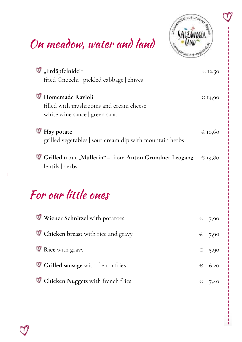## On meadow, water and land



| W "Erdäpfelnidei"                                                                            | $\in$ 12,50 |
|----------------------------------------------------------------------------------------------|-------------|
| fried Gnocchi   pickled cabbage   chives                                                     |             |
| Homemade Ravioli<br>filled with mushrooms and cream cheese<br>white wine sauce   green salad | € 14,90     |
| $\Psi$ Hay potato<br>grilled vegetables sour cream dip with mountain herbs                   | € 10,60     |
| Grilled trout "Müllerin" – from Anton Grundner Leogang<br>lentils   herbs                    | $\in$ 19,80 |

### For our little ones

| <b>Wiener Schnitzel</b> with potatoes | $\epsilon$ 7,90 |
|---------------------------------------|-----------------|
| Chicken breast with rice and gravy    | $\epsilon$ 7,90 |
| <b>V</b> Rice with gravy              | $\epsilon$ 5,90 |
| Grilled sausage with french fries     | $\epsilon$ 6,20 |
| Chicken Nuggets with french fries     | $\epsilon$ 7,40 |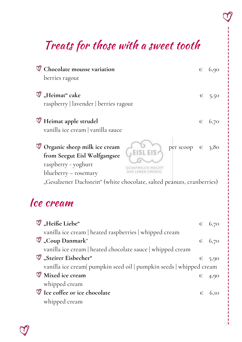## Treats for those with a sweet tooth

| Chocolate mousse variation                                                                                                                  | € | 6,90 |
|---------------------------------------------------------------------------------------------------------------------------------------------|---|------|
| berries ragout                                                                                                                              |   |      |
| $\mathcal{F}$ "Heimat" cake<br>raspberry   lavender   berries ragout                                                                        | € | 5,50 |
| Heimat apple strudel<br>vanilla ice cream   vanilla sauce                                                                                   | € | 6,70 |
| <sup>7</sup> Organic sheep milk ice cream<br>per scoop $\in$<br>from Seegut Eisl Wolfgangsee<br>raspberry - yoghurt<br>blueberry – rosemary |   | 3,80 |
| "Gesalzener Dachstein" (white chocolate, salted peanuts, cranberries)                                                                       |   |      |
| Ice cream                                                                                                                                   |   |      |

| M "Heiße Liebe"                                                     | $\epsilon$ 6,70 |
|---------------------------------------------------------------------|-----------------|
| vanilla ice cream   heated raspberries   whipped cream              |                 |
| $\mathbb Q$ "Coup Danmark"                                          | $\epsilon$ 6,70 |
| vanilla ice cream   heated chocolate sauce   whipped cream          |                 |
| Steirer Eisbecher"                                                  | $\epsilon$ 5,90 |
| vanilla ice cream  pumpkin seed oil   pumpkin seeds   whipped cream |                 |
| <b>W</b> Mixed ice cream                                            | $\epsilon$ 4,90 |
| whipped cream                                                       |                 |
| Ice coffee or ice chocolate                                         | $\epsilon$ 6.10 |
| whipped cream                                                       |                 |
|                                                                     |                 |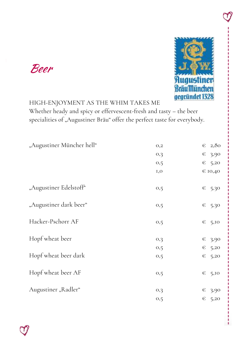

#### HIGH-ENJOYMENT AS THE WHIM TAKES ME Whether heady and spicy or effervescent-fresh and tasty – the beer specialities of "Augustiner Bräu" offer the perfect taste for everybody.

| "Augustiner Müncher hell" | O <sub>2</sub> | €               | 2,80 |
|---------------------------|----------------|-----------------|------|
|                           | O <sub>2</sub> | €               | 3,90 |
|                           | 0,5            | €               | 5,20 |
|                           | I, O           | € 10,40         |      |
| "Augustiner Edelstoff"    | 0,5            | $\epsilon$ 5,30 |      |
| "Augustiner dark beer"    | 0,5            | $\epsilon$ 5,30 |      |
| Hacker-Pschorr AF         | 0,5            | €               | 5,10 |
| Hopf wheat beer           | O <sub>2</sub> | $\in$           | 3,90 |
|                           | 0,5            | €               | 5,20 |
| Hopf wheat beer dark      | 0,5            | €               | 5,20 |
| Hopf wheat beer AF        | 0,5            | $\epsilon$ 5,10 |      |
| Augustiner "Radler"       | O <sub>2</sub> | €               | 3,90 |
|                           | 0,5            | €               | 5,20 |
|                           |                |                 |      |

Beer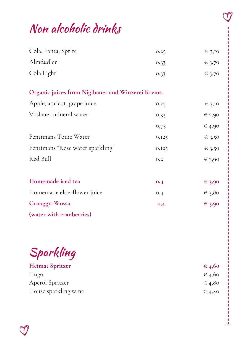#### Non alcoholic drinks

| Cola, Fanta, Sprite                               | 0,25           | $\in$ 3,10 |
|---------------------------------------------------|----------------|------------|
| Almdudler                                         | 0,33           | $\in$ 3,70 |
| Cola Light                                        | 0,33           | $\in$ 3,70 |
| Organic juices from Niglbauer and Winzerei Krems: |                |            |
| Apple, apricot, grape juice                       | 0,25           | $\in$ 3,10 |
| Vöslauer mineral water                            | 0,33           | $\in 2,90$ |
|                                                   | 0,75           | $\in$ 4,90 |
| Fentimans Tonic Water                             | 0,125          | $\in$ 3,50 |
| Fentimans "Rose water sparkling"                  | 0,125          | $\in$ 3,50 |
| Red Bull                                          | O <sub>2</sub> | 6,3,90     |
| Homemade iced tea                                 | 0,4            | $\in$ 3,90 |
| Homemade elderflower juice                        | O,4            | $\in$ 3,80 |
| Granggn-Wossa                                     | 0,4            | $-3,90$    |
| (water with cranberries)                          |                |            |

Sparkling

**Heimat Spritzer € 4,60** Hugo  $\epsilon$  4,60 Aperol Spritzer  $\epsilon$  4,80 House sparkling wine  $\epsilon_{4,40}$ 

п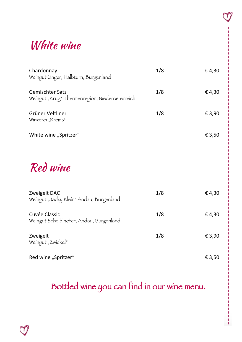### White wine

| Chardonnay<br>Weingut Unger, Halbturn, Burgenland                        | 1/8 | €4,30  |
|--------------------------------------------------------------------------|-----|--------|
| <b>Gemischter Satz</b><br>Weingut "Krug" Thermenregion, Niederösterreich | 1/8 | €4,30  |
| Grüner Veltliner<br>Winzerei "Krems"                                     | 1/8 | € 3,90 |
| White wine "Spritzer"                                                    |     | € 3,50 |
| Red wine                                                                 |     |        |
| Zweigelt DAC<br>Weingut "Jacky Klein" Andau, Burgenland                  | 1/8 | €4,30  |
| <b>Cuvée Classic</b><br>Weingut Scheiblhofer, Andau, Burgenland          | 1/8 | €4,30  |
| Zweigelt<br>Weingut "Zwickel"                                            | 1/8 | € 3,90 |
| Red wine "Spritzer"                                                      |     | € 3,50 |

### Bottled wine you can find in our wine menu.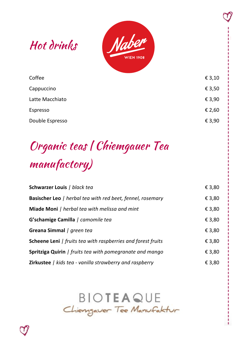

| Coffee          | € 3,10 |
|-----------------|--------|
| Cappuccino      | € 3,50 |
| Latte Macchiato | € 3,90 |
| Espresso        | € 2,60 |
| Double Espresso | € 3,90 |
|                 |        |

# Organic teas | Chiemgauer Tea manufactory)

| <b>Schwarzer Louis / black tea</b>                                  | € 3,80 |
|---------------------------------------------------------------------|--------|
| Basischer Leo   herbal tea with red beet, fennel, rosemary          | € 3,80 |
| Miade Moni   herbal tea with melissa and mint                       | € 3,80 |
| G'schamige Camilla / camomile tea                                   | € 3,80 |
| Greana Simmal / green tea                                           | € 3,80 |
| <b>Scheene Leni</b>   fruits tea with raspberries and forest fruits | € 3,80 |
| <b>Spritziga Quirin</b>   fruits tea with pomegranate and mango     | € 3,80 |
| <b>Zirkustee</b>   kids tea - vanilla strawberry and raspberry      | € 3,80 |